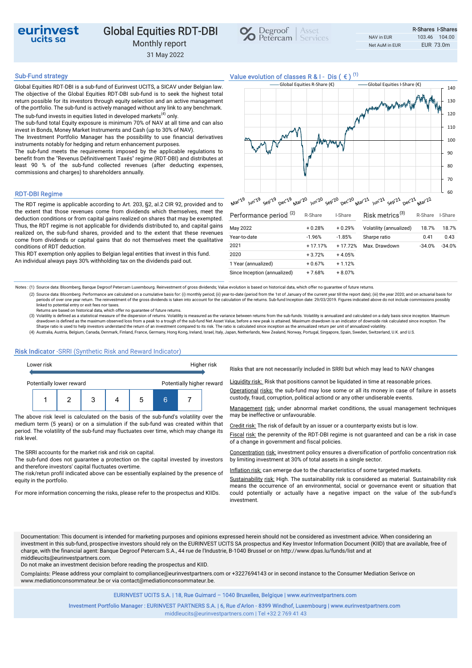

## Global Equities RDT-DBI  $\bigotimes_{\text{Petercam}} \bigg| \xrightarrow{\text{Sser}}$ Monthly report

31 May 2022



Global Equities RDT-DBI is a sub-fund of Eurinvest UCITS, a SICAV under Belgian law. The objective of the Global Equities RDT-DBI sub-fund is to seek the highest total return possible for its investors through equity selection and an active management of the portfolio. The sub-fund is actively managed without any link to any benchmark. The sub-fund invests in equities listed in developed markets<sup>(4)</sup> only.

The sub-fund total Equity exposure is minimum 70% of NAV at all time and can also invest in Bonds, Money Market Instruments and Cash (up to 30% of NAV).

The Investment Portfolio Manager has the possibility to use financial derivatives instruments notably for hedging and return enhancement purposes.

The sub-fund meets the requirements imposed by the applicable regulations to benefit from the "Revenus Définitivement Taxés" regime (RDT-DBI) and distributes at least 90 % of the sub-fund collected revenues (after deducting expenses, commissions and charges) to shareholders annually.

## RDT-DBI Regime

The RDT regime is applicable according to Art. 203, §2, al.2 CIR 92, provided and to the extent that those revenues come from dividends which themselves, meet the deduction conditions or from capital gains realized on shares that may be exempted. Thus, the RDT regime is not applicable for dividends distributed to, and capital gains realized on, the sub-fund shares, provided and to the extent that these revenues come from dividends or capital gains that do not themselves meet the qualitative conditions of RDT deduction.

This RDT exemption only applies to Belgian legal entities that invest in this fund. An individual always pays 30% withholding tax on the dividends paid out.



| Performance period <sup>(2)</sup> | R-Share   | I-Share   | Risk metrics <sup>(3)</sup> | R-Share  | I-Share  |
|-----------------------------------|-----------|-----------|-----------------------------|----------|----------|
| May 2022                          | $+0.28%$  | $+0.29%$  | Volatility (annualized)     | 18.7%    | 18.7%    |
| Year-to-date                      | $-1.96%$  | $-1.85%$  | Sharpe ratio                | 0.41     | 0.43     |
| 2021                              | $+17.17%$ | $+17.72%$ | Max. Drawdown               | $-34.0%$ | $-34.0%$ |
| 2020                              | $+3.72%$  | $+4.05%$  |                             |          |          |
| 1 Year (annualized)               | $+0.67%$  | $+1.12%$  |                             |          |          |
| Since Inception (annualized)      | $+7.68%$  | $+8.07%$  |                             |          |          |

Notes: (1) Source data: Bloomberg, Banque Degroof Petercam Luxembourg. Reinvestment of gross dividends; Value evolution is based on historical data, which offer no guarantee of future returns

(2) Source data: Bloomberg. Performance are calculated on a cumulative basis for: (i) monthly period; (ii) year-to-date (period from the 1st of January of the current year till the report date); (iii) the year 2020; and on periods of over one year return. The reinvestment of the gross dividends is taken into account for the calculation of the returns. Sub-fund Inception date: 29/03/2019. Figures indicated above do not include commissions pos

Returns are based on historical data, which offer no guarantee of future returns.

(3) Volatility is defined as a statistical measure of the dispersion of returns. Volatility is measured as the variance between returns from the sub-funds. Volatility is annualized and calculated on a daily basis since inc Sharpe ratio is used to help investors understand the return of an investment compared to its risk. The ratio is calculated since inception as the annualized return per unit of annualized volatility.

(4) Australia, Austria, Belgium, Canada, Denmark, Finland, France, Germany, Hong Kong, Ireland, Israel, Italy, Japan, Netherlands, New Zealand, Norway, Portugal, Singapore, Spain, Sweden, Switzerland, U.K. and U.S.

### Risk Indicator -SRRI (Synthetic Risk and Reward Indicator)



The above risk level is calculated on the basis of the sub-fund's volatility over the medium term (5 years) or on a simulation if the sub-fund was created within that period. The volatility of the sub-fund may fluctuates over time, which may change its risk level.

The SRRI accounts for the market risk and risk on capital.

The sub-fund does not guarantee a protection on the capital invested by investors and therefore investors' capital fluctuates overtime.

The risk/retun profil indicated above can be essentially explained by the presence of equity in the portfolio.

For more information concerning the risks, please refer to the prospectus and KIIDs.

### Risks that are not necessarily included in SRRI but which may lead to NAV changes

Liquidity risk: Risk that positions cannot be liquidated in time at reasonable prices.

Operational risks: the sub-fund may lose some or all its money in case of failure in assets

Management risk: under abnormal market conditions, the usual management techniques may be ineffective or unfavourable.

Credit risk: The risk of default by an issuer or a counterparty exists but is low.

Fiscal risk: the perennity of the RDT-DBI regime is not guaranteed and can be a risk in case of a change in government and fiscal policies.

Concentration risk: investment policy ensures a diversification of portfolio concentration risk by limiting investment at 30% of total assets in a single sector.

Inflation risk: can emerge due to the characteristics of some targeted markets.

Sustainability risk: High. The sustainability risk is considered as material. Sustainability risk means the occurrence of an environmental, social or governance event or situation that could potentially or actually have a negative impact on the value of the sub-fund's investment.

Documentation: This document is intended for marketing purposes and opinions expressed herein should not be considered as investment advice. When considering an investment in this sub-fund, prospective investors should rely on the EURINVEST UCITS SA prospectus and Key Investor Information Document (KIID) that are available, free of charge, with the financial agent: Banque Degroof Petercam S.A., 44 rue de l'Industrie, B-1040 Brussel or on http://www.dpas.lu/funds/list and at middleucits@eurinvestpartners.com.

Do not make an investment decision before reading the prospectus and KIID.

Complaints: Please address your complaint to compliance@eurinvestpartners.com or +3227694143 or in second instance to the Consumer Mediation Serivce on www.mediationconsommateur.be or via contact@mediationconsommateur.be.

EURINVEST UCITS S.A. | 18, Rue Guimard – 1040 Bruxelles, Belgique | www.eurinvestpartners.com

middleucits@eurinvestpartners.com | Tel +32 2 769 41 43 Investment Portfolio Manager : EURINVEST PARTNERS S.A. | 6, Rue d'Arlon - 8399 Windhof, Luxembourg | www.eurinvestpartners.com

# Sub-Fund strategy<br>Clabel Faultice DDT DDLine aub fund of Euriquest UCITC a CICAV under Delaise Iour Classes R & I - Dis (  $\epsilon$  )<sup>(1)</sup>